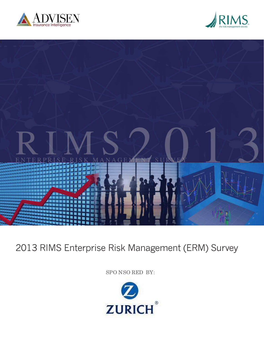





# 2013 RIMS Enterprise Risk Management (ERM) Survey

SPO NSO RED BY:

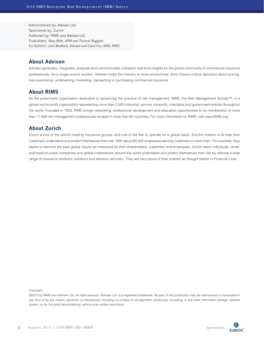Administered by: Advisen Ltd. Sponsored by: Zurich Authored by: RIMS and Advisen Ltd. Publishers: *Mary Roth, ARM and Thomas Ruggieri* Co-Editors: *Josh Bradford, Advisen and Carol Fox, ARM, RIMS*

# **About Advisen**

Advisen generates, integrates, analyzes and communicates unbiased, real-time insights for the global community of commercial insurance professionals. As a single source solution, Advisen helps the industry to more productively drive mission-critical decisions about pricing, loss experience, underwriting, marketing, transacting or purchasing commercial insurance.

# **About RIMS**

As the preeminent organization dedicated to advancing the practice of risk management, RIMS, the Risk Management Society™, is a global not-for-profit organization representing more than 3,500 industrial, service, nonprofit, charitable and government entities throughout the world. Founded in 1950, RIMS brings networking, professional development and education opportunities to its membership of more than 11,000 risk management professionals located in more than 60 countries. For more information on RIMS, visit www.RIMS.org.

# **About Zurich**

Zurich is one of the world's leading insurance groups, and one of the few to operate on a global basis. Zurich's mission is to help their customers understand and protect themselves from risk. With about 60,000 employees serving customers in more than 170 countries, they aspire to become the best global insurer as measured by their shareholders, customers and employees. Zurich helps individuals, smalland medium-sized companies and global corporations around the world understand and protect themselves from risk by offering a wide range of insurance products, solutions and advisory services. They are very proud of their position as thought leader in Financial Lines.

Copyright

©2013 by RIMS and Advisen Ltd. All right reserved. Advisen Ltd. Is a registered trademark. No part of this publication may be reproduced or transmitted in any form or by any means, electronic or mechanical, including: as a basis for an algorithm, photocopy, recording, or any other information storage, retrieval system, or for 3rd party benchmarking, without prior written permission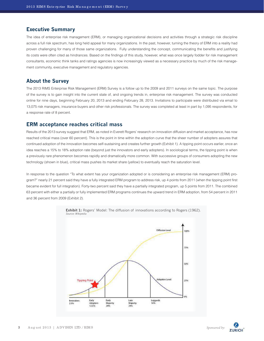#### **Executive Summary**

The idea of enterprise risk management (ERM), or managing organizational decisions and activities through a strategic risk discipline across a full risk spectrum, has long held appeal for many organizations. In the past, however, turning the theory of ERM into a reality had proven challenging for many of those same organizations. Fully understanding the concept, communicating the benefits and justifying its costs were often cited as hindrances. Based on the findings of this study, however, what was once largely fodder for risk management consultants, economic think tanks and ratings agencies is now increasingly viewed as a necessary practice by much of the risk management community, executive management and regulatory agencies.

# **About the Survey**

The 2013 RIMS Enterprise Risk Management (ERM) Survey is a follow up to the 2009 and 2011 surveys on the same topic. The purpose of the survey is to gain insight into the current state of, and ongoing trends in, enterprise risk management. The survey was conducted online for nine days, beginning February 20, 2013 and ending February 28, 2013. Invitations to participate were distributed via email to 13,075 risk managers, insurance buyers and other risk professionals. The survey was completed at least in part by 1,095 respondents, for a response rate of 8 percent.

#### **ERM acceptance reaches critical mass**

Results of the 2013 survey suggest that ERM, as noted in Everett Rogers' research on innovation diffusion and market acceptance, has now reached critical mass (over 60 percent). This is the point in time within the adoption curve that the sheer number of adopters assures that continued adoption of the innovation becomes self-sustaining and creates further growth (Exhibit 1). A tipping point occurs earlier, once an idea reaches a 15% to 18% adoption rate (beyond just the innovators and early adopters). In sociological terms, the tipping point is when a previously rare phenomenon becomes rapidly and dramatically more common. With successive groups of consumers adopting the new technology (shown in blue), critical mass pushes its market share (yellow) to eventually reach the saturation level.

In response to the question "To what extent has your organization adopted or is considering an enterprise risk management (ERM) program?" nearly 21 percent said they have a fully integrated ERM program to address risk, up 4 points from 2011 (when the tipping point first became evident for full integration). Forty-two percent said they have a partially integrated program, up 5 points from 2011. The combined 63 percent with either a partially or fully implemented ERM programs continues the upward trend in ERM adoption, from 54 percent in 2011 and 36 percent from 2009 (Exhibit 2).





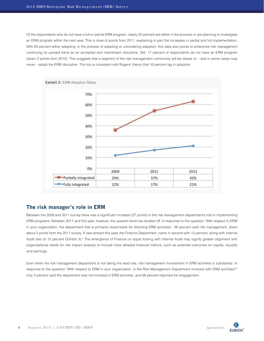Of the respondents who do not have a full or partial ERM program, nearly 20 percent are either in the process or are planning to investigate an ERM program within the next year. This is down 6 points from 2011, explaining in part the increases in partial and full implementation. With 83 percent either adopting, in the process of adopting or considering adoption, this data also points to enterprise risk management continuing its upward trend as an accepted and mainstream discipline. Still, 17 percent of respondents do not have an ERM program (down 3 points from 2010). This suggests that a segment of the risk management community will be slower to – and in some cases may never – adopt the ERM discipline. This too is consistent with Rogers' theory that 16 percent lag in adoption.



# **The risk manager's role in ERM**

Between the 2009 and 2011 survey there was a significant increase (27 points) in the risk management department's role in implementing ERM programs. Between 2011 and this year, however, the upward trend has leveled off. In response to the question "With respect to ERM in your organization, the department that is primarily responsible for directing ERM activities", 56 percent said risk management, down about 3 points from the 2011 survey. A new entrant this year, the Finance Department, came in second with 12 percent, along with Internal Audit also at 12 percent (Exhibit 3).<sup>2</sup> The emergence of Finance on equal footing with Internal Audit may signify greater alignment with organizational needs for risk impact analysis to include more detailed financial metrics, such as potential outcomes on capital, liquidity and earnings.

Even when the risk management department is not taking the lead role, risk management involvement in ERM activities is substantial. In response to the question "With respect to ERM in your organization, is the Risk Management Department involved with ERM activities?" only 3 percent said the department was not involved in ERM activities, and 68 percent reported full engagement.

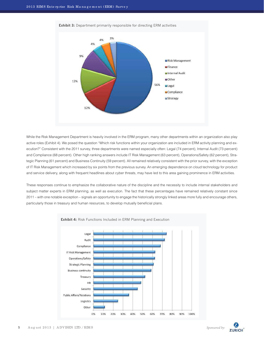

**Exhibit 3:** Department primarily responsible for directing ERM activities

While the Risk Management Department is heavily involved in the ERM program, many other departments within an organization also play active roles (Exhibit 4). We posed the question "Which risk functions within your organization are included in ERM activity planning and execution?" Consistent with the 2011 survey, three departments were named especially often: Legal (74 percent), Internal Audit (73 percent) and Compliance (68 percent). Other high ranking answers include IT Risk Management (63 percent), Operations/Safety (62 percent), Strategic Planning (61 percent) and Business Continuity (59 percent). All remained relatively consistent with the prior survey, with the exception of IT Risk Management which increased by six points from the previous survey. An emerging dependence on cloud technology for product and service delivery, along with frequent headlines about cyber threats, may have led to this area gaining prominence in ERM activities.

These responses continue to emphasize the collaborative nature of the discipline and the necessity to include internal stakeholders and subject matter experts in ERM planning, as well as execution. The fact that these percentages have remained relatively constant since 2011 – with one notable exception – signals an opportunity to engage the historically strongly linked areas more fully and encourage others, particularly those in treasury and human resources, to develop mutually beneficial plans.



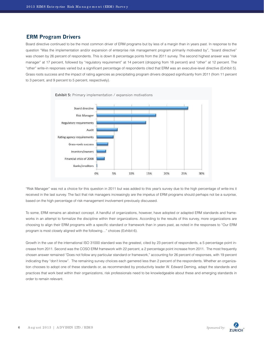#### **ERM Program Drivers**

Board directive continued to be the most common driver of ERM programs but by less of a margin than in years past. In response to the question "Was the implementation and/or expansion of enterprise risk management program primarily motivated by", "board directive" was chosen by 26 percent of respondents. This is down 8 percentage points from the 2011 survey. The second highest answer was "risk manager" at 17 percent, followed by "regulatory requirement" at 14 percent (dropping from 18 percent) and "other" at 12 percent. The "other" write-in responses varied but a significant percentage of respondents cited that ERM was an executive-level directive (Exhibit 5). Grass roots success and the impact of rating agencies as precipitating program drivers dropped significantly from 2011 (from 11 percent to 3 percent, and 9 percent to 5 percent, respectively).



"Risk Manager" was not a choice for this question in 2011 but was added to this year's survey due to the high percentage of write-ins it received in the last survey. The fact that risk managers increasingly are the impetus of ERM programs should perhaps not be a surprise, based on the high percentage of risk management involvement previously discussed.

To some, ERM remains an abstract concept. A handful of organizations, however, have adopted or adapted ERM standards and frameworks in an attempt to formalize the discipline within their organizations. According to the results of this survey, more organizations are choosing to align their ERM programs with a specific standard or framework than in years past, as noted in the responses to "Our ERM program is most closely aligned with the following…" choices (Exhibit 6).

Growth in the use of the international ISO 31000 standard was the greatest, cited by 23 percent of respondents, a 5 percentage point increase from 2011. Second was the COSO ERM framework with 22 percent, a 2 percentage point increase from 2011. The most frequently chosen answer remained "Does not follow any particular standard or framework," accounting for 26 percent of responses, with 19 percent indicating they "don't know". The remaining survey choices each garnered less than 2 percent of the respondents. Whether an organization chooses to adopt one of these standards or, as recommended by productivity leader W. Edward Deming, adapt the standards and practices that work best within their organizations, risk professionals need to be knowledgeable about these and emerging standards in order to remain relevant.

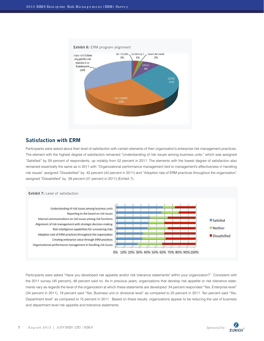

# **Satisfaction with ERM**

Participants were asked about their level of satisfaction with certain elements of their organization's enterprise risk management practices. The element with the highest degree of satisfaction remained "Understanding of risk issues among business units," which was assigned "Satisfied" by 59 percent of respondents, up notably from 52 percent in 2011. The elements with the lowest degree of satisfaction also remained essentially the same as in 2011 with "Organizational performance management tied to management's effectiveness in handling risk issues" assigned "Dissatisfied" by 42 percent (42 percent in 2011) and "Adoption rate of ERM practices throughout the organization" assigned "Dissatisfied" by 39 percent (41 percent in 2011) (Exhibit 7).



Participants were asked "Have you developed risk appetite and/or risk tolerance statements<sup>3</sup> within your organization?" Consistent with the 2011 survey (45 percent), 48 percent said no. As in previous years, organizations that develop risk appetite or risk tolerance statements vary as regards the level of the organization at which these statements are developed: 34 percent responded "Yes, Enterprise level" (34 percent in 2011), 19 percent said "Yes, Business unit or divisional level" as compared to 25 percent in 2011. Ten percent said "Yes, Department level" as compared to 15 percent in 2011. Based on these results, organizations appear to be reducing the use of business and department level risk appetite and tolerance statements.

**ZURICH**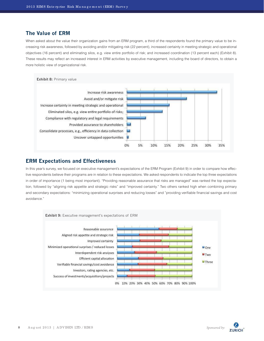# **The Value of ERM**

When asked about the value their organization gains from an ERM program, a third of the respondents found the primary value to be increasing risk awareness, followed by avoiding and/or mitigating risk (22 percent), increased certainty in meeting strategic and operational objectives (16 percent) and eliminating silos, e.g. view entire portfolio of risk; and increased coordination (13 percent each) (Exhibit 8). These results may reflect an increased interest in ERM activities by executive management, including the board of directors, to obtain a more holistic view of organizational risk.



#### **ERM Expectations and Effectiveness**

In this year's survey, we focused on executive management's expectations of the ERM Program (Exhibit 9) in order to compare how effective respondents believe their programs are in relation to these expectations. We asked respondents to indicate the top three expectations in order of importance (1 being most important). "Providing reasonable assurance that risks are managed" was ranked the top expectation, followed by "aligning risk appetite and strategic risks" and "improved certainty." Two others ranked high when combining primary and secondary expectations: "minimizing operational surprises and reducing losses" and "providing verifiable financial savings and cost avoidance."



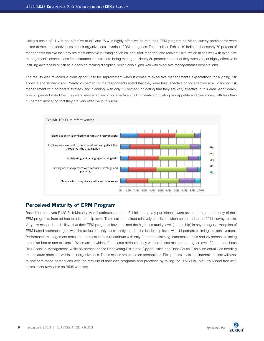Using a scale of "1 = is not effective at all" and "5 = is highly effective" to rate their ERM program activities, survey participants were asked to rate the effectiveness of their organizations in various ERM categories. The results in Exhibit 10 indicate that nearly 70 percent of respondents believe that they are most effective in taking action on identified important and relevant risks, which aligns well with executive management's expectations for assurance that risks are being managed. Nearly 50 percent noted that they were very or highly effective in instilling awareness of risk as a decision-making discipline, which also aligns well with executive management's expectations.

The results also revealed a clear opportunity for improvement when it comes to executive management's expectations for aligning risk appetite and strategic risk. Nearly 20 percent of the respondents noted that they were least effective or not effective at all in linking risk management with corporate strategy and planning, with only 10 percent indicating that they are very effective in this area. Additionally, over 25 percent noted that they were least effective or not effective at all in clearly articulating risk appetite and tolerances, with less than 10 percent indicating that they are very effective in this area.



# **Perceived Maturity of ERM Program**

Based on the seven RIMS Risk Maturity Model attributes noted in Exhibit 11, survey participants were asked to rate the maturity of their ERM programs, from ad hoc to a leadership level. The results remained relatively consistent when compared to the 2011 survey results. Very few respondents believe that their ERM programs have attained the highest maturity level (leadership) in any category. Adoption of ERM-based approach again was the attribute mostly consistently rated at the leadership level, with 14 percent claiming this achievement. Performance Management remained the most immature attribute with only 2 percent claiming leadership status and 26 percent claiming to be "ad hoc or non-existent." When asked which of the same attributes they wanted to see mature to a higher level, 89 percent chose Risk Appetite Management, while 86 percent chose Uncovering Risks and Opportunities and Root Cause Discipline equally as needing more mature practices within their organizations. These results are based on perceptions. Risk professionals and internal auditors will want to compare these perceptions with the maturity of their own programs and practices by taking the RIMS Risk Maturity Model free selfassessment (available on RIMS website).

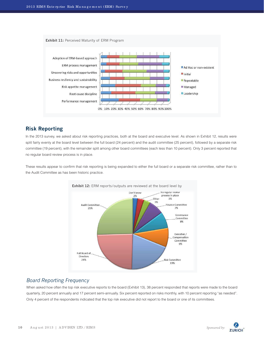

# **Risk Reporting**

In the 2013 survey, we asked about risk reporting practices, both at the board and executive level. As shown in Exhibit 12, results were split fairly evenly at the board level between the full board (24 percent) and the audit committee (25 percent), followed by a separate risk committee (19 percent), with the remainder split among other board committees (each less than 10 percent). Only 3 percent reported that no regular board review process is in place.

These results appear to confirm that risk reporting is being expanded to either the full board or a separate risk committee, rather than to the Audit Committee as has been historic practice.



# *Board Reporting Frequency*

When asked how often the top risk executive reports to the board (Exhibit 13), 38 percent responded that reports were made to the board quarterly, 20 percent annually and 17 percent semi-annually. Six percent reported on risks monthly, with 10 percent reporting "as needed". Only 4 percent of the respondents indicated that the top risk executive did not report to the board or one of its committees.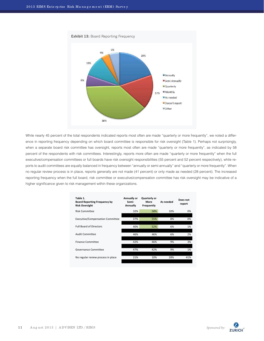

While nearly 45 percent of the total respondents indicated reports most often are made "quarterly or more frequently", we noted a difference in reporting frequency depending on which board committee is responsible for risk oversight (Table 1). Perhaps not surprisingly, when a separate board risk committee has oversight, reports most often are made "quarterly or more frequently", as indicated by 58 percent of the respondents with risk committees. Interestingly, reports more often are made "quarterly or more frequently" when the full executive/compensation committees or full boards have risk oversight responsibilities (55 percent and 52 percent respectively), while reports to audit committees are equally balanced in frequency between "annually or semi-annually" and "quarterly or more frequently". When no regular review process is in place, reports generally are not made (41 percent) or only made as needed (28 percent). The increased reporting frequency when the full board, risk committee or executive/compensation committee has risk oversight may be indicative of a higher significance given to risk management within these organizations.

| Table 1.<br><b>Board Reporting Frequency by</b><br><b>Risk Oversight</b> | Annually or<br>Semi-<br>Annually | Quarterly or<br>More<br>Frequently | As needed | Does not<br>report |
|--------------------------------------------------------------------------|----------------------------------|------------------------------------|-----------|--------------------|
| <b>Risk Committee</b>                                                    | 32%                              | 58%                                | 10%       | 0%                 |
| <b>Executive/Compensation Committee</b>                                  | 37%                              | 55%                                | 8%        | 0%                 |
| <b>Full Board of Directors</b>                                           | 40%                              | 52%                                | 6%        | 1%                 |
| <b>Audit Committee</b>                                                   | 46%                              | 46%                                | 6%        | 2%                 |
| <b>Finance Committee</b>                                                 | 42%                              | 46%                                | 9%        | 3%                 |
| Governance Committee                                                     | 47%                              | 42%                                | 9%        | 1%                 |
| No regular review process in place                                       | 21%                              | 10%                                | 28%       | 41%                |
|                                                                          |                                  |                                    |           |                    |

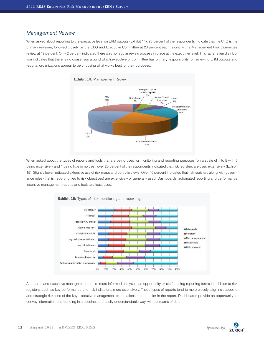### *Management Review*

When asked about reporting to the executive level on ERM outputs (Exhibit 14), 23 percent of the respondents indicate that the CFO is the primary reviewer, followed closely by the CEO and Executive Committee at 20 percent each, along with a Management Risk Committee review at 19 percent. Only 2 percent indicated there was no regular review process in place at the executive level. This rather even distribution indicates that there is no consensus around which executive or committee has primary responsibility for reviewing ERM outputs and reports; organizations appear to be choosing what works best for their purposes.



When asked about the types of reports and tools that are being used for monitoring and reporting purposes (on a scale of 1 to 5 with 5 being extensively and 1 being little or no use), over 20 percent of the respondents indicated that risk registers are used extensively (Exhibit 15). Slightly fewer indicated extensive use of risk maps and portfolio views. Over 40 percent indicated that risk registers along with governance rules (that is, reporting tied to risk objectives) are extensively or generally used. Dashboards, automated reporting and performance incentive management reports and tools are least used.



As boards and executive management require more informed analyses, an opportunity exists for using reporting forms in addition to risk registers, such as key performance and risk indicators, more extensively. These types of reports tend to more closely align risk appetite and strategic risk, one of the key executive management expectations noted earlier in the report. Dashboards provide an opportunity to convey information and trending in a succinct and easily understandable way, without reams of data.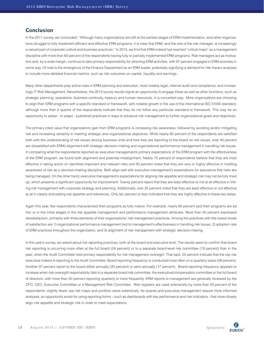#### **Conclusion**

In the 2011 survey, we concluded: "Although many organizations are still at the earliest stages of ERM implementation, and other organizations struggle to fully implement efficient and effective ERM programs, it is clear that ERM, and the role of the risk manager, is increasingly a valued part of corporate culture and business practices." In 2013, we find that ERM indeed has reached "critical mass" as a management discipline with more than 60 percent of the respondents having fully or partially implemented ERM programs. Risk managers act as motivators and, by a wide margin, continue to take primary responsibility for directing ERM activities, with 97 percent engaged in ERM activities in some way. Of note is the emergence of the Finance Department as an ERM leader, potentially signifying a demand for risk impact analyses to include more detailed financial metrics, such as risk outcomes on capital, liquidity and earnings.

Many other departments play active roles in ERM planning and execution, most notably legal, internal audit and compliance, and increasingly IT Risk Management. Nevertheless, the 2013 survey results signal an opportunity to engage these as well as other functions, such as strategic planning, operations, business continuity, treasury and human resources, in a concerted way. More organizations are choosing to align their ERM programs with a specific standard or framework, with notable growth in the use of the international ISO 31000 standard, although more than a quarter of the respondents indicate that they do not follow any particular standard or framework. This may be an opportunity to adopt - or adapt - published practices in ways to advance risk management to further organizational goals and objectives.

The primary cited value that organizations gain from ERM programs is increasing risk awareness, followed by avoiding and/or mitigating risk and increasing certainty in meeting strategic and organizational objectives. While nearly 60 percent of the respondents are satisfied both with the understanding of risk issues among business units and how they are reporting to the board on risk issues, over 40 percent are dissatisfied with ERM's alignment with strategic decision-making and organizational performance management in handling risk issues. In comparing what the respondents reported as executive management's primary expectations of the ERM program with the effectiveness of the ERM program, we found both alignment and potential misalignment. Nearly 70 percent of respondents believe that they are most effective in taking action on identified important and relevant risks and 50 percent noted that they are very or highly effective in instilling awareness of risk as a decision-making discipline. Both align well with executive management's expectations for assurance that risks are being managed. On the other hand, executive management's expectations for aligning risk appetite and strategic risk may not be fully lined up, which presents a significant opportunity for improvement. Twenty percent report that they are least effective or not at all effective in linking risk management with corporate strategy and planning. Additionally, over 25 percent noted that they are least effective or not effective at all in clearly articulating risk appetite and tolerances. Only ten percent or less indicated that they are highly effective in these two areas.

Again this year, few respondents characterized their programs as fully mature. For example, nearly 60 percent said their programs are ad hoc or in the initial stages in the risk appetite management and performance management attributes. More than 40 percent expressed dissatisfaction, primarily with three elements of their organizations' risk management practices. Among the practices with the lowest levels of satisfaction are 1) organizational performance management tied to management's effectiveness in handling risk issues, 2) adoption rate of ERM practices throughout the organization, and 3) alignment of risk management with strategic decision-making.

In this year's survey, we asked about risk reporting practices, both at the board and executive level. The results seem to confirm that board risk reporting is occurring more often at the full board (24 percent) or to a separate board-level risk committee (19 percent) than in the past, when the Audit Committee held primary responsibility for risk management oversight. That said, 25 percent indicate that the top risk executive indeed is reporting to the Audit Committee. Board reporting frequency is conducted most often on a quarterly basis (38 percent). Another 37 percent report to the board either annually (20 percent) or semi-annually (17 percent). Board reporting frequency appears to increase when risk oversight responsibility falls to a separate board risk committee, the executive/compensation committee or the full board of directors, with more than 50 percent reporting quarterly or more frequently. ERM reports to management are generally reviewed by the CFO, CEO, Executive Committee or a Management Risk Committee. Risk registers are used extensively by more than 20 percent of the respondents; slightly fewer use risk maps and portfolio views extensively. As boards and executive management require more informed analyses, an opportunity exists for using reporting forms – such as dashboards with key performance and risk indicators - that more closely align risk appetite and strategic risk in order to meet expectations.